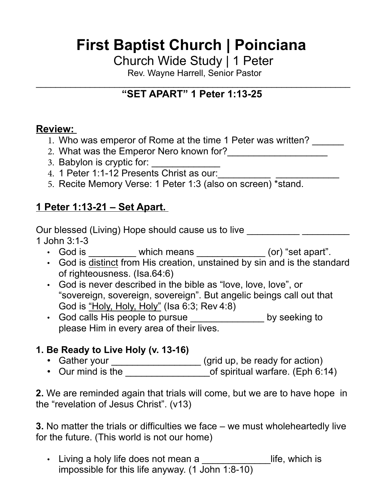# **First Baptist Church | Poinciana**

Church Wide Study | 1 Peter

Rev. Wayne Harrell, Senior Pastor

#### $\mathcal{L}_\text{max}$  , and the contract of the contract of the contract of the contract of the contract of the contract of the contract of the contract of the contract of the contract of the contract of the contract of the contr **"SET APART" 1 Peter 1:13-25**

## **Review:**

- 1. Who was emperor of Rome at the time 1 Peter was written?
- 2. What was the Emperor Nero known for?<br>
2. What was the Emperor Nero known for?
- 3. Babylon is cryptic for:
- 4. 1 Peter 1:1-12 Presents Christ as our:\_\_\_\_\_\_\_\_\_\_\_\_ \_\_\_\_\_\_\_\_\_\_\_\_\_\_
- 5. Recite Memory Verse: 1 Peter 1:3 (also on screen) \*stand.

## **1 Peter 1:13-21 – Set Apart.**

Our blessed (Living) Hope should cause us to live 1 John 3:1-3

- God is \_\_\_\_\_\_\_\_\_ which means \_\_\_\_\_\_\_\_\_\_\_\_ (or) "set apart".
- God is distinct from His creation, unstained by sin and is the standard of righteousness. (Isa.64:6)
- God is never described in the bible as "love, love, love", or "sovereign, sovereign, sovereign". But angelic beings call out that God is "Holy, Holy, Holy" (Isa 6:3; Rev 4:8)
- God calls His people to pursue \_\_\_\_\_\_\_\_\_\_\_\_\_\_ by seeking to please Him in every area of their lives.

## **1. Be Ready to Live Holy (v. 13-16)**

- Cather your \_\_\_\_\_\_\_\_\_\_\_\_\_\_\_\_\_\_\_\_ (grid up, be ready for action)
- $\,$  Our mind is the \_\_\_\_\_\_\_\_\_\_\_\_\_\_\_\_\_of spiritual warfare. (Eph 6:14)

**2.** We are reminded again that trials will come, but we are to have hope in the "revelation of Jesus Christ". (v13)

**3.** No matter the trials or difficulties we face – we must wholeheartedly live for the future. (This world is not our home)

• Living a holy life does not mean a \_\_\_\_\_\_\_\_\_\_\_\_\_\_life, which is impossible for this life anyway. (1 John 1:8-10)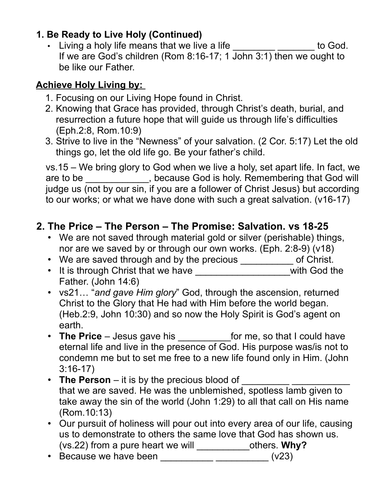## **1. Be Ready to Live Holy (Continued)**

• Living a holy life means that we live a life \_\_\_\_\_\_\_\_\_\_\_\_\_\_\_\_\_ to God. If we are God's children (Rom 8:16-17; 1 John 3:1) then we ought to be like our Father.

## **Achieve Holy Living by:**

- 1. Focusing on our Living Hope found in Christ.
- 2. Knowing that Grace has provided, through Christ's death, burial, and resurrection a future hope that will guide us through life's difficulties (Eph.2:8, Rom.10:9)
- 3. Strive to live in the "Newness" of your salvation. (2 Cor. 5:17) Let the old things go, let the old life go. Be your father's child.

vs.15 – We bring glory to God when we live a holy, set apart life. In fact, we are to be \_\_\_\_\_\_\_\_\_\_\_, because God is holy. Remembering that God will judge us (not by our sin, if you are a follower of Christ Jesus) but according to our works; or what we have done with such a great salvation. (v16-17)

## **2. The Price – The Person – The Promise: Salvation. vs 18-25**

- We are not saved through material gold or silver (perishable) things, nor are we saved by or through our own works. (Eph. 2:8-9) (v18)
- We are saved through and by the precious \_\_\_\_\_\_\_\_\_\_\_ of Christ.
- It is through Christ that we have \_\_\_\_\_\_\_\_\_\_\_\_\_\_\_\_\_\_\_\_\_\_\_with God the Father. (John 14:6)
- vs21… "*and gave Him glory*" God, through the ascension, returned Christ to the Glory that He had with Him before the world began. (Heb.2:9, John 10:30) and so now the Holy Spirit is God's agent on earth.
- The Price Jesus gave his \_\_\_\_\_\_\_\_\_\_\_\_for me, so that I could have eternal life and live in the presence of God. His purpose was/is not to condemn me but to set me free to a new life found only in Him. (John 3:16-17)
- **The Person** it is by the precious blood of that we are saved. He was the unblemished, spotless lamb given to take away the sin of the world (John 1:29) to all that call on His name (Rom.10:13)
- Our pursuit of holiness will pour out into every area of our life, causing us to demonstrate to others the same love that God has shown us. (vs.22) from a pure heart we will \_\_\_\_\_\_\_\_\_\_others. **Why?**
- Because we have been  $\frac{1}{\sqrt{1-\frac{1}{2}}}\frac{1}{\sqrt{1-\frac{1}{2}}}\frac{1}{\sqrt{2}}$  (v23)